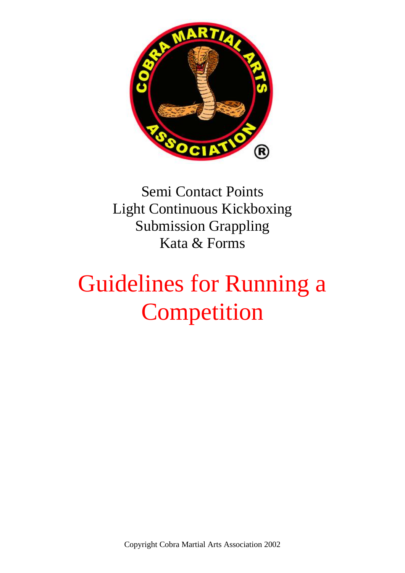

Semi Contact Points Light Continuous Kickboxing Submission Grappling Kata & Forms

# Guidelines for Running a Competition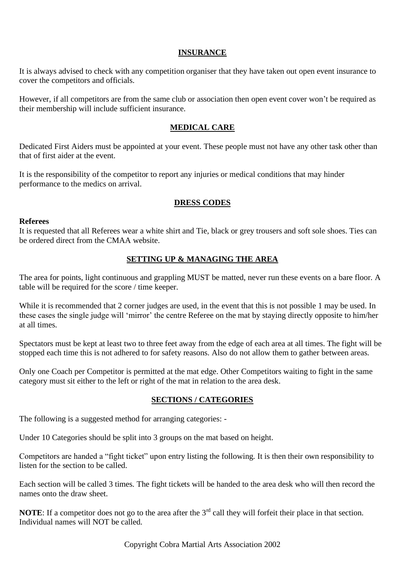## **INSURANCE**

It is always advised to check with any competition organiser that they have taken out open event insurance to cover the competitors and officials.

However, if all competitors are from the same club or association then open event cover won't be required as their membership will include sufficient insurance.

### **MEDICAL CARE**

Dedicated First Aiders must be appointed at your event. These people must not have any other task other than that of first aider at the event.

It is the responsibility of the competitor to report any injuries or medical conditions that may hinder performance to the medics on arrival.

### **DRESS CODES**

#### **Referees**

It is requested that all Referees wear a white shirt and Tie, black or grey trousers and soft sole shoes. Ties can be ordered direct from the CMAA website.

## **SETTING UP & MANAGING THE AREA**

The area for points, light continuous and grappling MUST be matted, never run these events on a bare floor. A table will be required for the score / time keeper.

While it is recommended that 2 corner judges are used, in the event that this is not possible 1 may be used. In these cases the single judge will 'mirror' the centre Referee on the mat by staying directly opposite to him/her at all times.

Spectators must be kept at least two to three feet away from the edge of each area at all times. The fight will be stopped each time this is not adhered to for safety reasons. Also do not allow them to gather between areas.

Only one Coach per Competitor is permitted at the mat edge. Other Competitors waiting to fight in the same category must sit either to the left or right of the mat in relation to the area desk.

## **SECTIONS / CATEGORIES**

The following is a suggested method for arranging categories: -

Under 10 Categories should be split into 3 groups on the mat based on height.

Competitors are handed a "fight ticket" upon entry listing the following. It is then their own responsibility to listen for the section to be called.

Each section will be called 3 times. The fight tickets will be handed to the area desk who will then record the names onto the draw sheet.

**NOTE:** If a competitor does not go to the area after the 3<sup>rd</sup> call they will forfeit their place in that section. Individual names will NOT be called.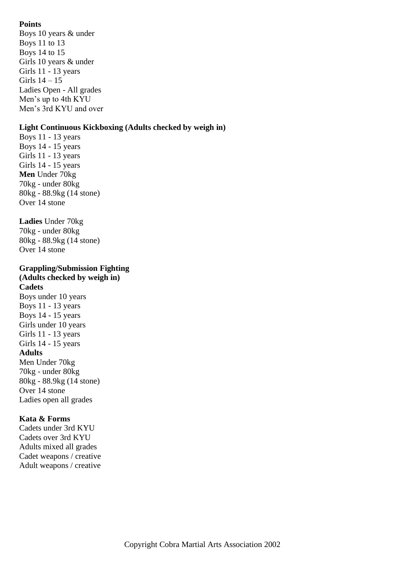# **Points**

Boys 10 years & under Boys 11 to 13 Boys 14 to 15 Girls 10 years & under Girls 11 - 13 years Girls 14 – 15 Ladies Open - All grades Men's up to 4th KYU Men's 3rd KYU and over

## **Light Continuous Kickboxing (Adults checked by weigh in)**

Boys 11 - 13 years Boys 14 - 15 years Girls 11 - 13 years Girls 14 - 15 years **Men** Under 70kg 70kg - under 80kg 80kg - 88.9kg (14 stone) Over 14 stone

**Ladies** Under 70kg 70kg - under 80kg 80kg - 88.9kg (14 stone) Over 14 stone

## **Grappling/Submission Fighting (Adults checked by weigh in)**

**Cadets** Boys under 10 years Boys 11 - 13 years Boys 14 - 15 years Girls under 10 years Girls 11 - 13 years Girls 14 - 15 years **Adults** Men Under 70kg 70kg - under 80kg 80kg - 88.9kg (14 stone) Over 14 stone Ladies open all grades

## **Kata & Forms**

Cadets under 3rd KYU Cadets over 3rd KYU Adults mixed all grades Cadet weapons / creative Adult weapons / creative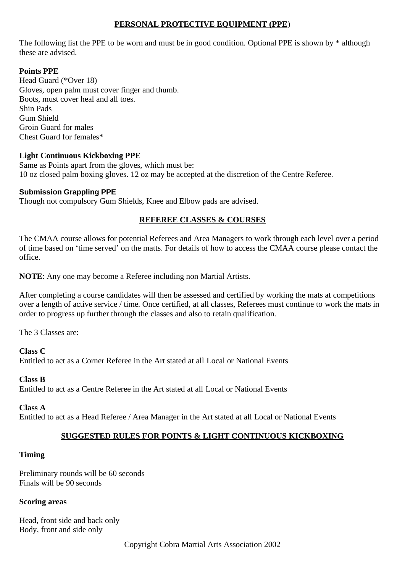## **PERSONAL PROTECTIVE EQUIPMENT (PPE**)

The following list the PPE to be worn and must be in good condition. Optional PPE is shown by \* although these are advised.

# **Points PPE**

Head Guard (\*Over 18) Gloves, open palm must cover finger and thumb. Boots, must cover heal and all toes. Shin Pads Gum Shield Groin Guard for males Chest Guard for females\*

## **Light Continuous Kickboxing PPE**

Same as Points apart from the gloves, which must be: 10 oz closed palm boxing gloves. 12 oz may be accepted at the discretion of the Centre Referee.

### **Submission Grappling PPE**

Though not compulsory Gum Shields, Knee and Elbow pads are advised.

## **REFEREE CLASSES & COURSES**

The CMAA course allows for potential Referees and Area Managers to work through each level over a period of time based on 'time served' on the matts. For details of how to access the CMAA course please contact the office.

**NOTE**: Any one may become a Referee including non Martial Artists.

After completing a course candidates will then be assessed and certified by working the mats at competitions over a length of active service / time. Once certified, at all classes, Referees must continue to work the mats in order to progress up further through the classes and also to retain qualification.

The 3 Classes are:

**Class C**

Entitled to act as a Corner Referee in the Art stated at all Local or National Events

## **Class B**

Entitled to act as a Centre Referee in the Art stated at all Local or National Events

#### **Class A**

Entitled to act as a Head Referee / Area Manager in the Art stated at all Local or National Events

## **SUGGESTED RULES FOR POINTS & LIGHT CONTINUOUS KICKBOXING**

## **Timing**

Preliminary rounds will be 60 seconds Finals will be 90 seconds

#### **Scoring areas**

Head, front side and back only Body, front and side only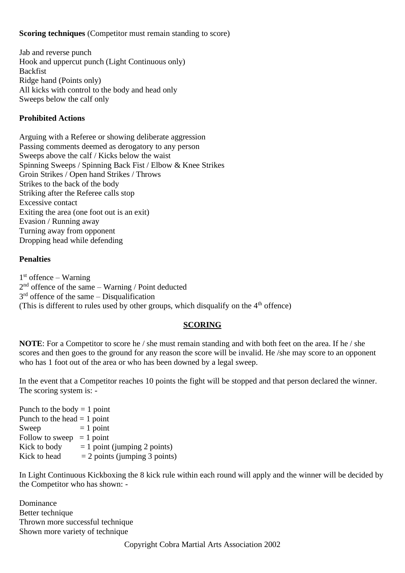## **Scoring techniques** (Competitor must remain standing to score)

Jab and reverse punch Hook and uppercut punch (Light Continuous only) Backfist Ridge hand (Points only) All kicks with control to the body and head only Sweeps below the calf only

# **Prohibited Actions**

Arguing with a Referee or showing deliberate aggression Passing comments deemed as derogatory to any person Sweeps above the calf / Kicks below the waist Spinning Sweeps / Spinning Back Fist / Elbow & Knee Strikes Groin Strikes / Open hand Strikes / Throws Strikes to the back of the body Striking after the Referee calls stop Excessive contact Exiting the area (one foot out is an exit) Evasion / Running away Turning away from opponent Dropping head while defending

## **Penalties**

1 st offence – Warning  $2<sup>nd</sup>$  offence of the same – Warning / Point deducted  $3<sup>rd</sup>$  offence of the same – Disqualification (This is different to rules used by other groups, which disqualify on the  $4<sup>th</sup>$  offence)

## **SCORING**

**NOTE**: For a Competitor to score he / she must remain standing and with both feet on the area. If he / she scores and then goes to the ground for any reason the score will be invalid. He /she may score to an opponent who has 1 foot out of the area or who has been downed by a legal sweep.

In the event that a Competitor reaches 10 points the fight will be stopped and that person declared the winner. The scoring system is: -

Punch to the body  $= 1$  point Punch to the head  $= 1$  point Sweep  $= 1$  point Follow to sweep  $= 1$  point<br>Kick to body  $= 1$  point  $= 1$  point (jumping 2 points) Kick to head  $= 2$  points (jumping 3 points)

In Light Continuous Kickboxing the 8 kick rule within each round will apply and the winner will be decided by the Competitor who has shown: -

Dominance Better technique Thrown more successful technique Shown more variety of technique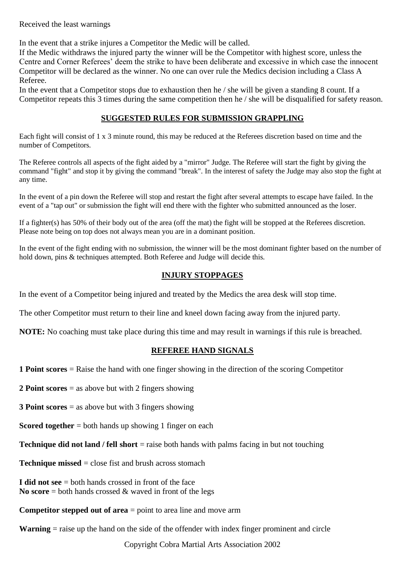Received the least warnings

In the event that a strike injures a Competitor the Medic will be called.

If the Medic withdraws the injured party the winner will be the Competitor with highest score, unless the Centre and Corner Referees' deem the strike to have been deliberate and excessive in which case the innocent Competitor will be declared as the winner. No one can over rule the Medics decision including a Class A Referee.

In the event that a Competitor stops due to exhaustion then he / she will be given a standing 8 count. If a Competitor repeats this 3 times during the same competition then he / she will be disqualified for safety reason.

# **SUGGESTED RULES FOR SUBMISSION GRAPPLING**

Each fight will consist of 1 x 3 minute round, this may be reduced at the Referees discretion based on time and the number of Competitors.

The Referee controls all aspects of the fight aided by a "mirror" Judge. The Referee will start the fight by giving the command "fight" and stop it by giving the command "break". In the interest of safety the Judge may also stop the fight at any time.

In the event of a pin down the Referee will stop and restart the fight after several attempts to escape have failed. In the event of a "tap out" or submission the fight will end there with the fighter who submitted announced as the loser.

If a fighter(s) has 50% of their body out of the area (off the mat) the fight will be stopped at the Referees discretion. Please note being on top does not always mean you are in a dominant position.

In the event of the fight ending with no submission, the winner will be the most dominant fighter based on the number of hold down, pins & techniques attempted. Both Referee and Judge will decide this.

# **INJURY STOPPAGES**

In the event of a Competitor being injured and treated by the Medics the area desk will stop time.

The other Competitor must return to their line and kneel down facing away from the injured party.

**NOTE:** No coaching must take place during this time and may result in warnings if this rule is breached.

## **REFEREE HAND SIGNALS**

**1 Point scores** = Raise the hand with one finger showing in the direction of the scoring Competitor

**2 Point scores** = as above but with 2 fingers showing

**3 Point scores** = as above but with 3 fingers showing

**Scored together** = both hands up showing 1 finger on each

**Technique did not land / fell short** = raise both hands with palms facing in but not touching

**Technique missed** = close fist and brush across stomach

**I did not see** = both hands crossed in front of the face **No score** = both hands crossed  $\&$  waved in front of the legs

**Competitor stepped out of area** = point to area line and move arm

**Warning** = raise up the hand on the side of the offender with index finger prominent and circle

Copyright Cobra Martial Arts Association 2002